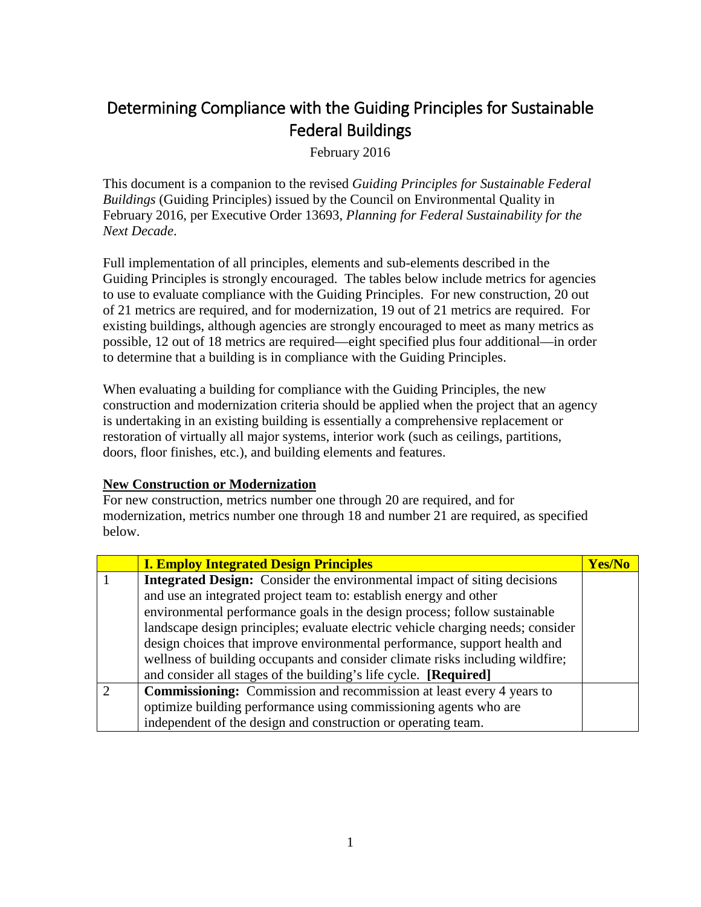## Determining Compliance with the Guiding Principles for Sustainable Federal Buildings

February 2016

This document is a companion to the revised *Guiding Principles for Sustainable Federal Buildings* (Guiding Principles) issued by the Council on Environmental Quality in February 2016, per Executive Order 13693, *Planning for Federal Sustainability for the Next Decade*.

Full implementation of all principles, elements and sub-elements described in the Guiding Principles is strongly encouraged. The tables below include metrics for agencies to use to evaluate compliance with the Guiding Principles. For new construction, 20 out of 21 metrics are required, and for modernization, 19 out of 21 metrics are required. For existing buildings, although agencies are strongly encouraged to meet as many metrics as possible, 12 out of 18 metrics are required—eight specified plus four additional—in order to determine that a building is in compliance with the Guiding Principles.

When evaluating a building for compliance with the Guiding Principles, the new construction and modernization criteria should be applied when the project that an agency is undertaking in an existing building is essentially a comprehensive replacement or restoration of virtually all major systems, interior work (such as ceilings, partitions, doors, floor finishes, etc.), and building elements and features.

## **New Construction or Modernization**

For new construction, metrics number one through 20 are required, and for modernization, metrics number one through 18 and number 21 are required, as specified below.

| <b>I. Employ Integrated Design Principles</b>                                   | <b>Yes/No</b> |
|---------------------------------------------------------------------------------|---------------|
| <b>Integrated Design:</b> Consider the environmental impact of siting decisions |               |
| and use an integrated project team to: establish energy and other               |               |
| environmental performance goals in the design process; follow sustainable       |               |
| landscape design principles; evaluate electric vehicle charging needs; consider |               |
| design choices that improve environmental performance, support health and       |               |
| wellness of building occupants and consider climate risks including wildfire;   |               |
| and consider all stages of the building's life cycle. [Required]                |               |
| <b>Commissioning:</b> Commission and recommission at least every 4 years to     |               |
| optimize building performance using commissioning agents who are                |               |
| independent of the design and construction or operating team.                   |               |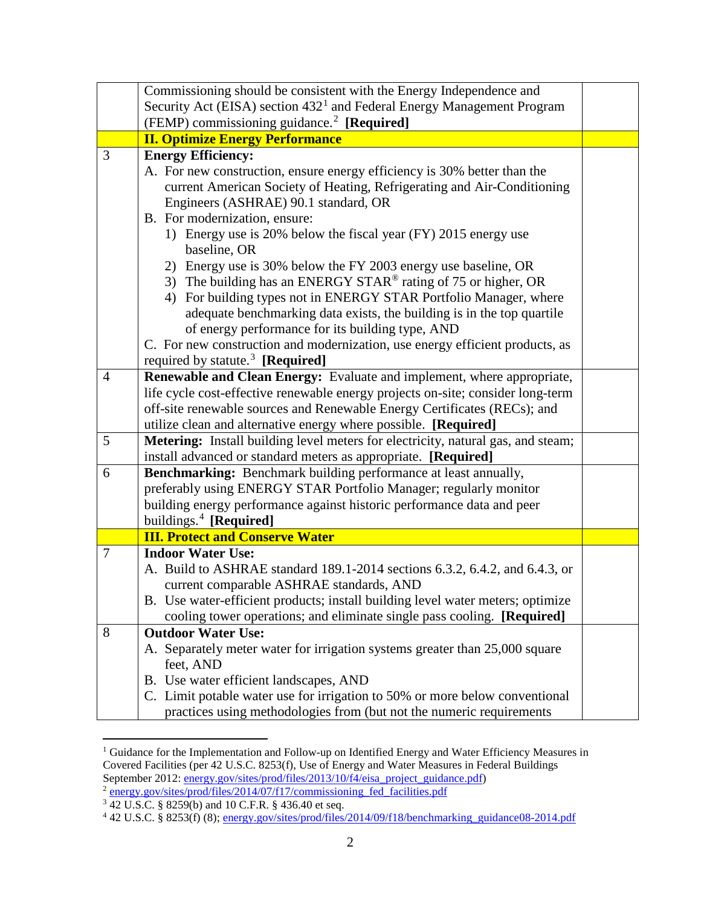|                | Commissioning should be consistent with the Energy Independence and                                          |  |
|----------------|--------------------------------------------------------------------------------------------------------------|--|
|                | Security Act (EISA) section $4321$ and Federal Energy Management Program                                     |  |
|                | (FEMP) commissioning guidance. <sup>2</sup> [Required]                                                       |  |
|                | <b>II. Optimize Energy Performance</b>                                                                       |  |
| 3              | <b>Energy Efficiency:</b>                                                                                    |  |
|                | A. For new construction, ensure energy efficiency is 30% better than the                                     |  |
|                | current American Society of Heating, Refrigerating and Air-Conditioning                                      |  |
|                | Engineers (ASHRAE) 90.1 standard, OR                                                                         |  |
|                | B. For modernization, ensure:                                                                                |  |
|                | 1) Energy use is 20% below the fiscal year (FY) 2015 energy use                                              |  |
|                | baseline, OR                                                                                                 |  |
|                | 2) Energy use is 30% below the FY 2003 energy use baseline, OR                                               |  |
|                | 3) The building has an ENERGY STAR® rating of 75 or higher, OR                                               |  |
|                | 4) For building types not in ENERGY STAR Portfolio Manager, where                                            |  |
|                | adequate benchmarking data exists, the building is in the top quartile                                       |  |
|                | of energy performance for its building type, AND                                                             |  |
|                | C. For new construction and modernization, use energy efficient products, as                                 |  |
|                | required by statute. <sup>3</sup> [Required]                                                                 |  |
| $\overline{4}$ | Renewable and Clean Energy: Evaluate and implement, where appropriate,                                       |  |
|                | life cycle cost-effective renewable energy projects on-site; consider long-term                              |  |
|                | off-site renewable sources and Renewable Energy Certificates (RECs); and                                     |  |
|                | utilize clean and alternative energy where possible. [Required]                                              |  |
| 5              | Metering: Install building level meters for electricity, natural gas, and steam;                             |  |
|                | install advanced or standard meters as appropriate. [Required]                                               |  |
| 6              | Benchmarking: Benchmark building performance at least annually,                                              |  |
|                | preferably using ENERGY STAR Portfolio Manager; regularly monitor                                            |  |
|                | building energy performance against historic performance data and peer<br>buildings. <sup>4</sup> [Required] |  |
|                | <b>III. Protect and Conserve Water</b>                                                                       |  |
| $\tau$         | <b>Indoor Water Use:</b>                                                                                     |  |
|                | A. Build to ASHRAE standard 189.1-2014 sections 6.3.2, 6.4.2, and 6.4.3, or                                  |  |
|                | current comparable ASHRAE standards, AND                                                                     |  |
|                | B. Use water-efficient products; install building level water meters; optimize                               |  |
|                | cooling tower operations; and eliminate single pass cooling. [Required]                                      |  |
| 8              | <b>Outdoor Water Use:</b>                                                                                    |  |
|                | A. Separately meter water for irrigation systems greater than 25,000 square                                  |  |
|                | feet, AND                                                                                                    |  |
|                | B. Use water efficient landscapes, AND                                                                       |  |
|                |                                                                                                              |  |
|                | C. Limit potable water use for irrigation to 50% or more below conventional                                  |  |

<span id="page-1-0"></span><sup>&</sup>lt;sup>1</sup> Guidance for the Implementation and Follow-up on Identified Energy and Water Efficiency Measures in Covered Facilities (per 42 U.S.C. 8253(f), Use of Energy and Water Measures in Federal Buildings September 2012: **energy.gov/sites/prod/files/2013/10/f4/eisa\_project\_guidance.pdf)** <sup>2</sup> [energy.gov/sites/prod/files/2014/07/f17/commissioning\\_fed\\_facilities.pdf](http://energy.gov/sites/prod/files/2014/07/f17/commissioning_fed_facilities.pdf)

<span id="page-1-2"></span><span id="page-1-1"></span>

<span id="page-1-3"></span><sup>&</sup>lt;sup>3</sup> 42 U.S.C. § 8259(b) and 10 C.F.R. § 436.40 et seq.<br><sup>4</sup> 42 U.S.C. § 8253(f) (8); <u>energy.gov/sites/prod/files/2014/09/f18/benchmarking\_guidance08-2014.pdf</u>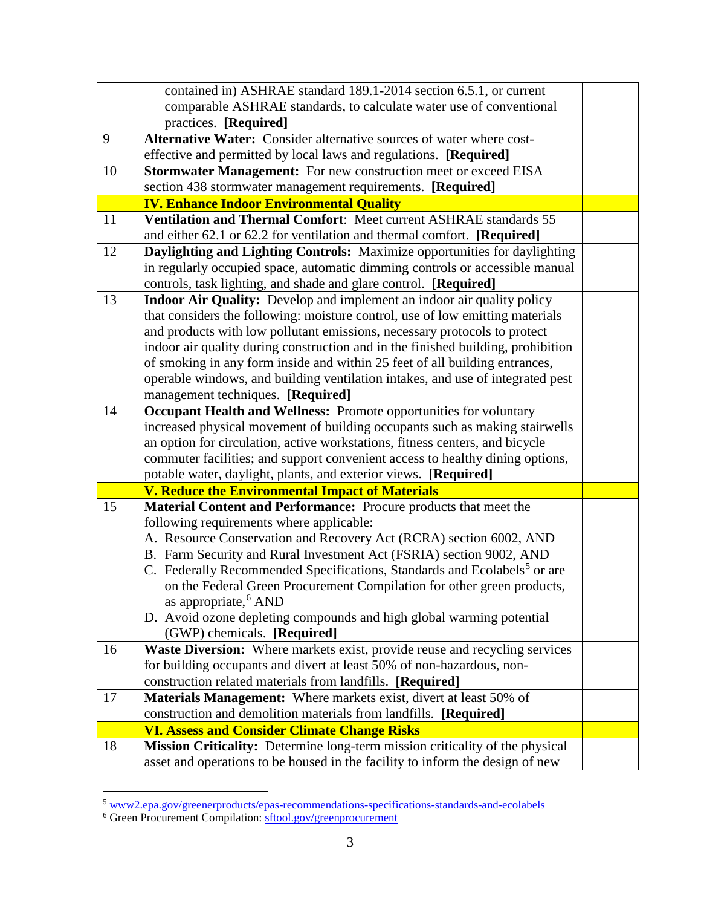|    | contained in) ASHRAE standard 189.1-2014 section 6.5.1, or current                   |  |
|----|--------------------------------------------------------------------------------------|--|
|    | comparable ASHRAE standards, to calculate water use of conventional                  |  |
|    | practices. [Required]                                                                |  |
| 9  | Alternative Water: Consider alternative sources of water where cost-                 |  |
|    | effective and permitted by local laws and regulations. [Required]                    |  |
| 10 | Stormwater Management: For new construction meet or exceed EISA                      |  |
|    | section 438 stormwater management requirements. [Required]                           |  |
|    | <b>IV. Enhance Indoor Environmental Quality</b>                                      |  |
| 11 | Ventilation and Thermal Comfort: Meet current ASHRAE standards 55                    |  |
|    | and either 62.1 or 62.2 for ventilation and thermal comfort. [Required]              |  |
| 12 | Daylighting and Lighting Controls: Maximize opportunities for daylighting            |  |
|    | in regularly occupied space, automatic dimming controls or accessible manual         |  |
|    | controls, task lighting, and shade and glare control. [Required]                     |  |
| 13 | Indoor Air Quality: Develop and implement an indoor air quality policy               |  |
|    | that considers the following: moisture control, use of low emitting materials        |  |
|    | and products with low pollutant emissions, necessary protocols to protect            |  |
|    | indoor air quality during construction and in the finished building, prohibition     |  |
|    | of smoking in any form inside and within 25 feet of all building entrances,          |  |
|    | operable windows, and building ventilation intakes, and use of integrated pest       |  |
|    | management techniques. [Required]                                                    |  |
| 14 | Occupant Health and Wellness: Promote opportunities for voluntary                    |  |
|    | increased physical movement of building occupants such as making stairwells          |  |
|    | an option for circulation, active workstations, fitness centers, and bicycle         |  |
|    | commuter facilities; and support convenient access to healthy dining options,        |  |
|    | potable water, daylight, plants, and exterior views. [Required]                      |  |
|    | <b>V. Reduce the Environmental Impact of Materials</b>                               |  |
| 15 | Material Content and Performance: Procure products that meet the                     |  |
|    | following requirements where applicable:                                             |  |
|    | A. Resource Conservation and Recovery Act (RCRA) section 6002, AND                   |  |
|    | B. Farm Security and Rural Investment Act (FSRIA) section 9002, AND                  |  |
|    | C. Federally Recommended Specifications, Standards and Ecolabels <sup>5</sup> or are |  |
|    | on the Federal Green Procurement Compilation for other green products,               |  |
|    | as appropriate, <sup>6</sup> AND                                                     |  |
|    | D. Avoid ozone depleting compounds and high global warming potential                 |  |
|    | (GWP) chemicals. [Required]                                                          |  |
| 16 | Waste Diversion: Where markets exist, provide reuse and recycling services           |  |
|    | for building occupants and divert at least 50% of non-hazardous, non-                |  |
|    | construction related materials from landfills. [Required]                            |  |
| 17 | Materials Management: Where markets exist, divert at least 50% of                    |  |
|    | construction and demolition materials from landfills. [Required]                     |  |
|    | <b>VI. Assess and Consider Climate Change Risks</b>                                  |  |
| 18 | Mission Criticality: Determine long-term mission criticality of the physical         |  |
|    | asset and operations to be housed in the facility to inform the design of new        |  |

<span id="page-2-0"></span> <sup>5</sup> [www2.epa.gov/greenerproducts/epas-recommendations-specifications-standards-and-ecolabels](http://www2.epa.gov/greenerproducts/epas-recommendations-specifications-standards-and-ecolabels)

<span id="page-2-1"></span><sup>&</sup>lt;sup>6</sup> Green Procurement Compilation: [sftool.gov/greenprocurement](https://sftool.gov/greenprocurement)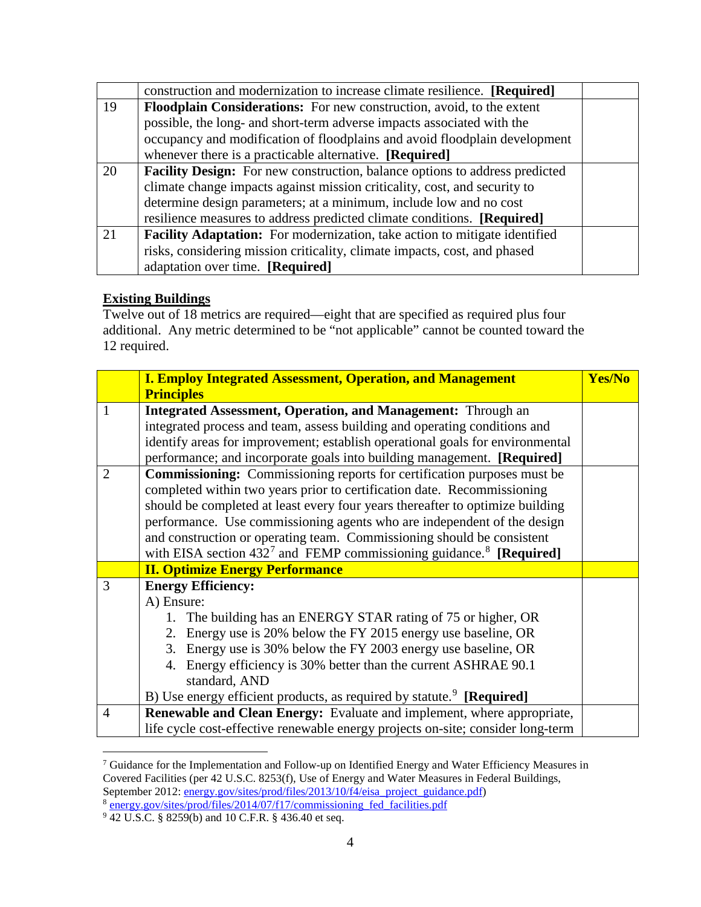|    | construction and modernization to increase climate resilience. [Required]    |  |
|----|------------------------------------------------------------------------------|--|
| 19 | <b>Floodplain Considerations:</b> For new construction, avoid, to the extent |  |
|    | possible, the long- and short-term adverse impacts associated with the       |  |
|    | occupancy and modification of floodplains and avoid floodplain development   |  |
|    | whenever there is a practicable alternative. [Required]                      |  |
| 20 | Facility Design: For new construction, balance options to address predicted  |  |
|    | climate change impacts against mission criticality, cost, and security to    |  |
|    | determine design parameters; at a minimum, include low and no cost           |  |
|    | resilience measures to address predicted climate conditions. [Required]      |  |
| 21 | Facility Adaptation: For modernization, take action to mitigate identified   |  |
|    | risks, considering mission criticality, climate impacts, cost, and phased    |  |
|    | adaptation over time. [Required]                                             |  |

## **Existing Buildings**

Twelve out of 18 metrics are required—eight that are specified as required plus four additional. Any metric determined to be "not applicable" cannot be counted toward the 12 required.

|                | <b>I. Employ Integrated Assessment, Operation, and Management</b>                  | Yes/No |
|----------------|------------------------------------------------------------------------------------|--------|
|                | <b>Principles</b>                                                                  |        |
| 1              | <b>Integrated Assessment, Operation, and Management: Through an</b>                |        |
|                | integrated process and team, assess building and operating conditions and          |        |
|                | identify areas for improvement; establish operational goals for environmental      |        |
|                | performance; and incorporate goals into building management. [Required]            |        |
| $\overline{2}$ | <b>Commissioning:</b> Commissioning reports for certification purposes must be     |        |
|                | completed within two years prior to certification date. Recommissioning            |        |
|                | should be completed at least every four years thereafter to optimize building      |        |
|                | performance. Use commissioning agents who are independent of the design            |        |
|                | and construction or operating team. Commissioning should be consistent             |        |
|                | with EISA section $432^7$ and FEMP commissioning guidance. <sup>8</sup> [Required] |        |
|                | <b>II. Optimize Energy Performance</b>                                             |        |
| $\mathcal{R}$  | <b>Energy Efficiency:</b>                                                          |        |
|                | A) Ensure:                                                                         |        |
|                | 1. The building has an ENERGY STAR rating of 75 or higher, OR                      |        |
|                | 2. Energy use is 20% below the FY 2015 energy use baseline, OR                     |        |
|                | 3. Energy use is 30% below the FY 2003 energy use baseline, OR                     |        |
|                | 4. Energy efficiency is 30% better than the current ASHRAE 90.1                    |        |
|                | standard, AND                                                                      |        |
|                | B) Use energy efficient products, as required by statute. <sup>9</sup> [Required]  |        |
| $\overline{4}$ | Renewable and Clean Energy: Evaluate and implement, where appropriate,             |        |
|                | life cycle cost-effective renewable energy projects on-site; consider long-term    |        |

<span id="page-3-0"></span><sup>&</sup>lt;sup>7</sup> Guidance for the Implementation and Follow-up on Identified Energy and Water Efficiency Measures in Covered Facilities (per 42 U.S.C. 8253(f), Use of Energy and Water Measures in Federal Buildings, September 2012: **energy.gov/sites/prod/files/2013/10/f4/eisa\_project\_guidance.pdf)** <sup>8</sup> energy.gov/sites/prod/files/2014/07/f17/commissioning fed facilities.pdf

<span id="page-3-2"></span><span id="page-3-1"></span><sup>9</sup> 42 U.S.C. § 8259(b) and 10 C.F.R. § 436.40 et seq.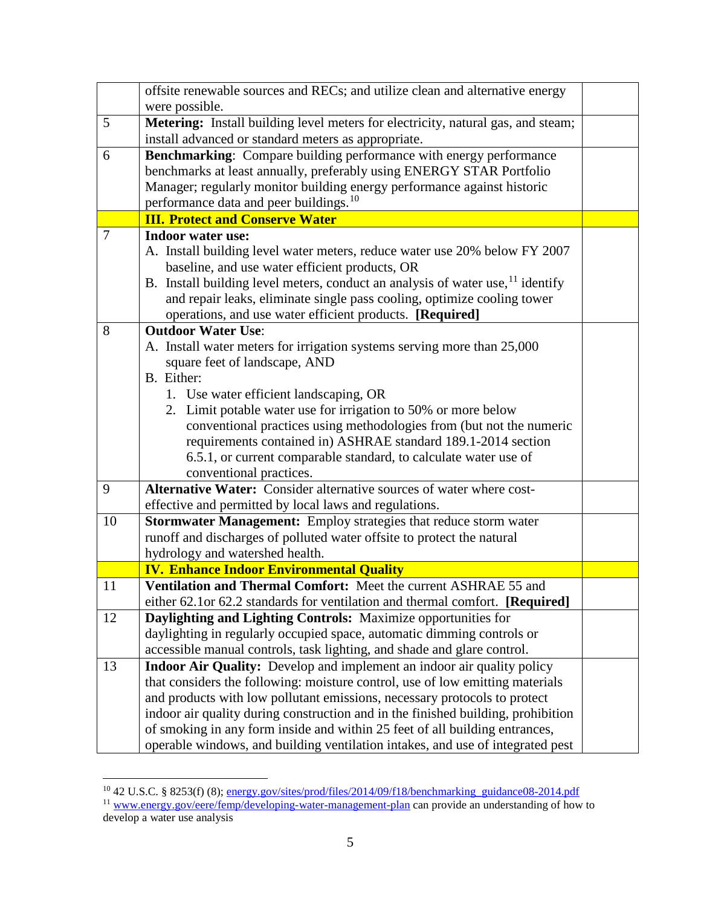|    | offsite renewable sources and RECs; and utilize clean and alternative energy      |  |
|----|-----------------------------------------------------------------------------------|--|
|    | were possible.                                                                    |  |
| 5  | Metering: Install building level meters for electricity, natural gas, and steam;  |  |
|    | install advanced or standard meters as appropriate.                               |  |
| 6  | Benchmarking: Compare building performance with energy performance                |  |
|    | benchmarks at least annually, preferably using ENERGY STAR Portfolio              |  |
|    | Manager; regularly monitor building energy performance against historic           |  |
|    | performance data and peer buildings. <sup>10</sup>                                |  |
|    | <b>III. Protect and Conserve Water</b>                                            |  |
| 7  | <b>Indoor water use:</b>                                                          |  |
|    | A. Install building level water meters, reduce water use 20% below FY 2007        |  |
|    | baseline, and use water efficient products, OR                                    |  |
|    | B. Install building level meters, conduct an analysis of water use, $11$ identify |  |
|    | and repair leaks, eliminate single pass cooling, optimize cooling tower           |  |
|    | operations, and use water efficient products. [Required]                          |  |
| 8  | <b>Outdoor Water Use:</b>                                                         |  |
|    | A. Install water meters for irrigation systems serving more than 25,000           |  |
|    | square feet of landscape, AND                                                     |  |
|    | B. Either:                                                                        |  |
|    | 1. Use water efficient landscaping, OR                                            |  |
|    | 2. Limit potable water use for irrigation to 50% or more below                    |  |
|    | conventional practices using methodologies from (but not the numeric              |  |
|    | requirements contained in) ASHRAE standard 189.1-2014 section                     |  |
|    | 6.5.1, or current comparable standard, to calculate water use of                  |  |
|    | conventional practices.                                                           |  |
| 9  | Alternative Water: Consider alternative sources of water where cost-              |  |
|    | effective and permitted by local laws and regulations.                            |  |
| 10 | Stormwater Management: Employ strategies that reduce storm water                  |  |
|    | runoff and discharges of polluted water offsite to protect the natural            |  |
|    | hydrology and watershed health.                                                   |  |
|    | <b>IV. Enhance Indoor Environmental Quality</b>                                   |  |
| 11 | Ventilation and Thermal Comfort: Meet the current ASHRAE 55 and                   |  |
|    | either 62.1 or 62.2 standards for ventilation and thermal comfort. [Required]     |  |
| 12 | Daylighting and Lighting Controls: Maximize opportunities for                     |  |
|    | daylighting in regularly occupied space, automatic dimming controls or            |  |
|    | accessible manual controls, task lighting, and shade and glare control.           |  |
| 13 | <b>Indoor Air Quality:</b> Develop and implement an indoor air quality policy     |  |
|    | that considers the following: moisture control, use of low emitting materials     |  |
|    | and products with low pollutant emissions, necessary protocols to protect         |  |
|    | indoor air quality during construction and in the finished building, prohibition  |  |
|    | of smoking in any form inside and within 25 feet of all building entrances,       |  |
|    | operable windows, and building ventilation intakes, and use of integrated pest    |  |

 <sup>10</sup> 42 U.S.C. § 8253(f) (8); [energy.gov/sites/prod/files/2014/09/f18/benchmarking\\_guidance08-2014.pdf](http://energy.gov/sites/prod/files/2014/09/f18/benchmarking_guidance08-2014.pdf)

<span id="page-4-1"></span><span id="page-4-0"></span><sup>&</sup>lt;sup>11</sup> [www.energy.gov/eere/femp/developing-water-management-plan](http://www.energy.gov/eere/femp/developing-water-management-plan) can provide an understanding of how to develop a water use analysis